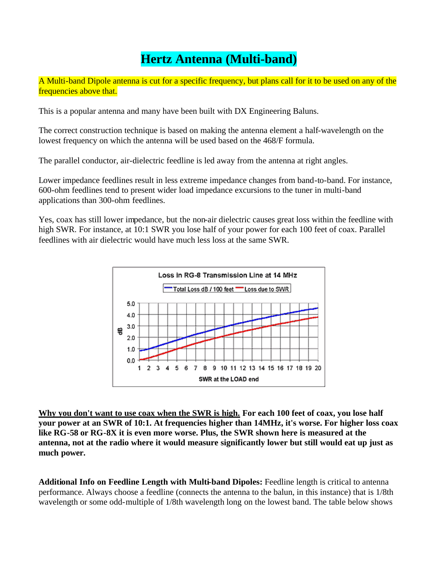## **Hertz Antenna (Multi-band)**

A Multi-band Dipole antenna is cut for a specific frequency, but plans call for it to be used on any of the frequencies above that.

This is a popular antenna and many have been built with DX Engineering Baluns.

The correct construction technique is based on making the antenna element a half-wavelength on the lowest frequency on which the antenna will be used based on the 468/F formula.

The parallel conductor, air-dielectric feedline is led away from the antenna at right angles.

Lower impedance feedlines result in less extreme impedance changes from band-to-band. For instance, 600-ohm feedlines tend to present wider load impedance excursions to the tuner in multi-band applications than 300-ohm feedlines.

Yes, coax has still lower impedance, but the non-air dielectric causes great loss within the feedline with high SWR. For instance, at 10:1 SWR you lose half of your power for each 100 feet of coax. Parallel feedlines with air dielectric would have much less loss at the same SWR.



**Why you don't want to use coax when the SWR is high. For each 100 feet of coax, you lose half your power at an SWR of 10:1. At frequencies higher than 14MHz, it's worse. For higher loss coax like RG-58 or RG-8X it is even more worse. Plus, the SWR shown here is measured at the antenna, not at the radio where it would measure significantly lower but still would eat up just as much power.**

**Additional Info on Feedline Length with Multi-band Dipoles:** Feedline length is critical to antenna performance. Always choose a feedline (connects the antenna to the balun, in this instance) that is 1/8th wavelength or some odd-multiple of 1/8th wavelength long on the lowest band. The table below shows